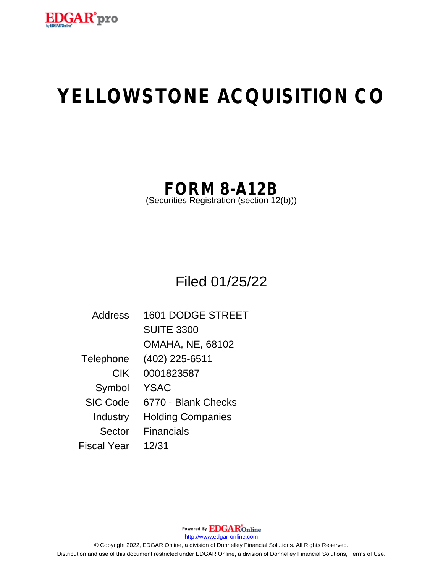

# **YELLOWSTONE ACQUISITION CO**

## **FORM 8-A12B**

(Securities Registration (section 12(b)))

Filed 01/25/22

| <b>Address</b>  | <b>1601 DODGE STREET</b> |
|-----------------|--------------------------|
|                 | <b>SUITE 3300</b>        |
|                 | <b>OMAHA, NE, 68102</b>  |
| Telephone       | (402) 225-6511           |
| <b>CIK</b>      | 0001823587               |
| Symbol          | <b>YSAC</b>              |
| <b>SIC Code</b> | 6770 - Blank Checks      |
| Industry        | <b>Holding Companies</b> |
| Sector          | <b>Financials</b>        |
| Fiscal Year     | 12/31                    |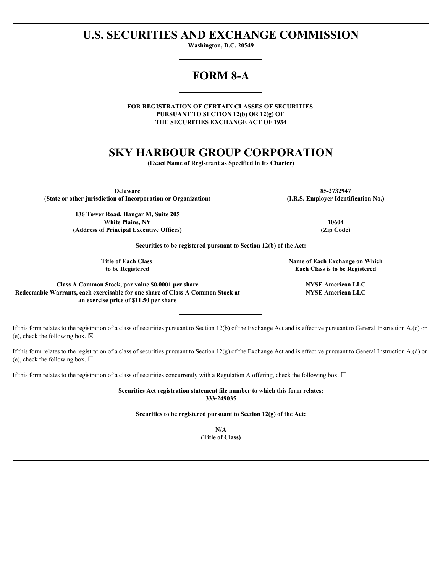## **U.S. SECURITIES AND EXCHANGE COMMISSION**

**Washington, D.C. 20549**

## **FORM 8-A**

**FOR REGISTRATION OF CERTAIN CLASSES OF SECURITIES PURSUANT TO SECTION 12(b) OR 12(g) OF THE SECURITIES EXCHANGE ACT OF 1934**

## **SKY HARBOUR GROUP CORPORATION**

**(Exact Name of Registrant as Specified in Its Charter)**

**Delaware 85-2732947 (State or other jurisdiction of Incorporation or Organization) (I.R.S. Employer Identification No.)**

**136 Tower Road, Hangar M, Suite 205 White Plains, NY 10604 (Address of Principal Executive Offices) (Zip Code)**

**Securities to be registered pursuant to Section 12(b) of the Act:**

**Title of Each Class to be Registered**

**Name of Each Exchange on Which Each Class is to be Registered**

**Class A Common Stock, par value \$0.0001 per share NYSE American LLC Redeemable Warrants, each exercisable for one share of Class A Common Stock at an exercise price of \$11.50 per share**

**NYSE American LLC**

If this form relates to the registration of a class of securities pursuant to Section 12(b) of the Exchange Act and is effective pursuant to General Instruction A.(c) or (e), check the following box.  $\boxtimes$ 

If this form relates to the registration of a class of securities pursuant to Section  $12(g)$  of the Exchange Act and is effective pursuant to General Instruction A.(d) or (e), check the following box.  $\Box$ 

If this form relates to the registration of a class of securities concurrently with a Regulation A offering, check the following box.  $\Box$ 

**Securities Act registration statement file number to which this form relates: 333-249035**

**Securities to be registered pursuant to Section 12(g) of the Act:**

**N/A (Title of Class)**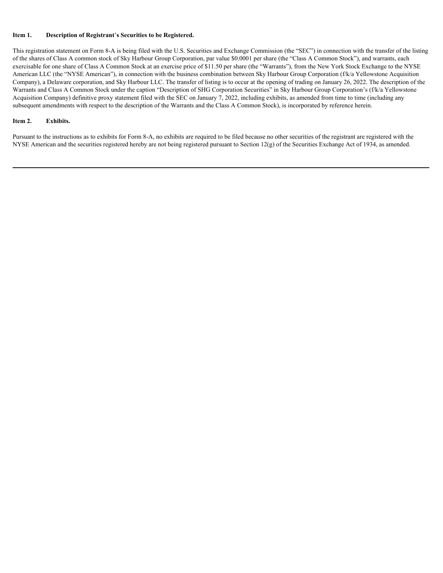#### **Item 1. Description of Registrant**'**s Securities to be Registered.**

This registration statement on Form 8-A is being filed with the U.S. Securities and Exchange Commission (the "SEC") in connection with the transfer of the listing of the shares of Class A common stock of Sky Harbour Group Corporation, par value \$0.0001 per share (the "Class A Common Stock"), and warrants, each exercisable for one share of Class A Common Stock at an exercise price of \$11.50 per share (the "Warrants"), from the New York Stock Exchange to the NYSE American LLC (the "NYSE American"), in connection with the business combination between Sky Harbour Group Corporation (f/k/a Yellowstone Acquisition Company), a Delaware corporation, and Sky Harbour LLC. The transfer of listing is to occur at the opening of trading on January 26, 2022. The description of the Warrants and Class A Common Stock under the caption "Description of SHG Corporation Securities" in Sky Harbour Group Corporation's (f/k/a Yellowstone Acquisition Company) definitive proxy statement filed with the SEC on January 7, 2022, including exhibits, as amended from time to time (including any subsequent amendments with respect to the description of the Warrants and the Class A Common Stock), is incorporated by reference herein.

#### **Item 2. Exhibits.**

Pursuant to the instructions as to exhibits for Form 8-A, no exhibits are required to be filed because no other securities of the registrant are registered with the NYSE American and the securities registered hereby are not being registered pursuant to Section 12(g) of the Securities Exchange Act of 1934, as amended.